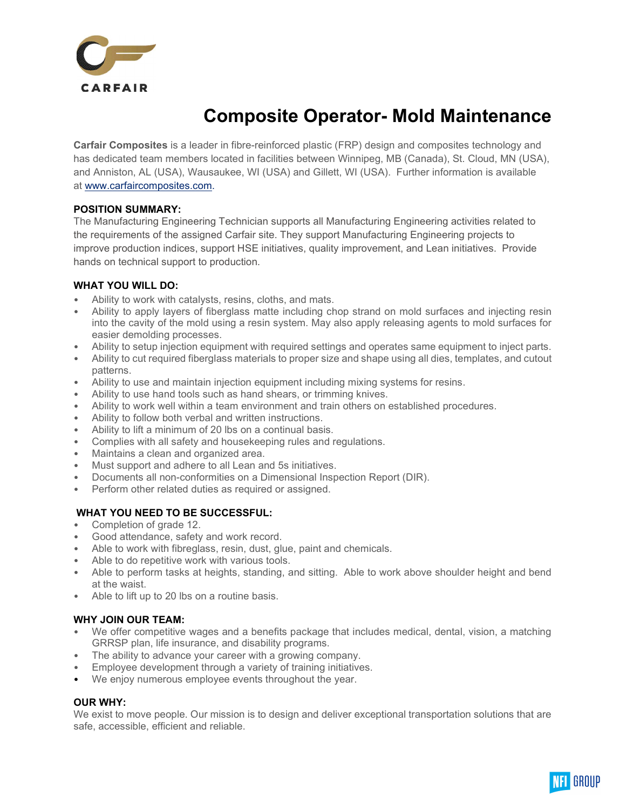

# Composite Operator- Mold Maintenance

Carfair Composites is a leader in fibre-reinforced plastic (FRP) design and composites technology and has dedicated team members located in facilities between Winnipeg, MB (Canada), St. Cloud, MN (USA), and Anniston, AL (USA), Wausaukee, WI (USA) and Gillett, WI (USA). Further information is available at www.carfaircomposites.com.

## POSITION SUMMARY:

The Manufacturing Engineering Technician supports all Manufacturing Engineering activities related to the requirements of the assigned Carfair site. They support Manufacturing Engineering projects to improve production indices, support HSE initiatives, quality improvement, and Lean initiatives. Provide hands on technical support to production.

#### WHAT YOU WILL DO:

- Ability to work with catalysts, resins, cloths, and mats.
- Ability to apply layers of fiberglass matte including chop strand on mold surfaces and injecting resin into the cavity of the mold using a resin system. May also apply releasing agents to mold surfaces for easier demolding processes.
- Ability to setup injection equipment with required settings and operates same equipment to inject parts.
- Ability to cut required fiberglass materials to proper size and shape using all dies, templates, and cutout patterns.
- Ability to use and maintain injection equipment including mixing systems for resins.
- Ability to use hand tools such as hand shears, or trimming knives.
- Ability to work well within a team environment and train others on established procedures.
- Ability to follow both verbal and written instructions.
- Ability to lift a minimum of 20 lbs on a continual basis.
- Complies with all safety and housekeeping rules and regulations.
- Maintains a clean and organized area.
- Must support and adhere to all Lean and 5s initiatives.
- Documents all non-conformities on a Dimensional Inspection Report (DIR).
- Perform other related duties as required or assigned.

## WHAT YOU NEED TO BE SUCCESSFUL:

- Completion of grade 12.
- Good attendance, safety and work record.
- Able to work with fibreglass, resin, dust, glue, paint and chemicals.
- Able to do repetitive work with various tools.
- Able to perform tasks at heights, standing, and sitting. Able to work above shoulder height and bend at the waist.
- Able to lift up to 20 lbs on a routine basis.

## WHY JOIN OUR TEAM:

- We offer competitive wages and a benefits package that includes medical, dental, vision, a matching GRRSP plan, life insurance, and disability programs.
- The ability to advance your career with a growing company.
- Employee development through a variety of training initiatives.
- We enjoy numerous employee events throughout the year.

## OUR WHY:

We exist to move people. Our mission is to design and deliver exceptional transportation solutions that are safe, accessible, efficient and reliable.